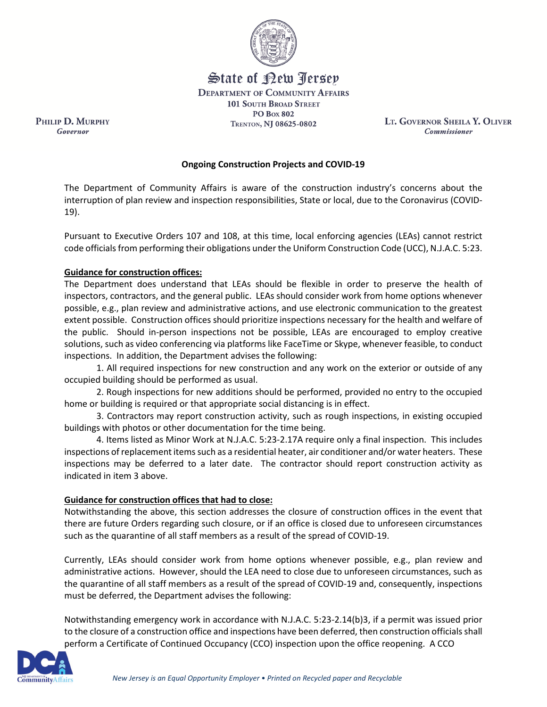

State of Rew <u>Perse</u>p

**DEPARTMENT OF COMMUNITY AFFAIRS 101 SOUTH BROAD STREET** 

**PO Box 802** TRENTON, NJ 08625-0802

LT. GOVERNOR SHEILA Y. OLIVER **Commissioner** 

## **Ongoing Construction Projects and COVID-19**

The Department of Community Affairs is aware of the construction industry's concerns about the interruption of plan review and inspection responsibilities, State or local, due to the Coronavirus (COVID-19).

Pursuant to Executive Orders 107 and 108, at this time, local enforcing agencies (LEAs) cannot restrict code officials from performing their obligations under the Uniform Construction Code (UCC), N.J.A.C. 5:23.

## **Guidance for construction offices:**

PHILIP D. MURPHY

Governor

The Department does understand that LEAs should be flexible in order to preserve the health of inspectors, contractors, and the general public. LEAs should consider work from home options whenever possible, e.g., plan review and administrative actions, and use electronic communication to the greatest extent possible. Construction offices should prioritize inspections necessary for the health and welfare of the public. Should in-person inspections not be possible, LEAs are encouraged to employ creative solutions, such as video conferencing via platforms like FaceTime or Skype, whenever feasible, to conduct inspections. In addition, the Department advises the following:

1. All required inspections for new construction and any work on the exterior or outside of any occupied building should be performed as usual.

2. Rough inspections for new additions should be performed, provided no entry to the occupied home or building is required or that appropriate social distancing is in effect.

3. Contractors may report construction activity, such as rough inspections, in existing occupied buildings with photos or other documentation for the time being.

4. Items listed as Minor Work at N.J.A.C. 5:23-2.17A require only a final inspection. This includes inspections of replacement items such as a residential heater, air conditioner and/or water heaters. These inspections may be deferred to a later date. The contractor should report construction activity as indicated in item 3 above.

## **Guidance for construction offices that had to close:**

Notwithstanding the above, this section addresses the closure of construction offices in the event that there are future Orders regarding such closure, or if an office is closed due to unforeseen circumstances such as the quarantine of all staff members as a result of the spread of COVID-19.

Currently, LEAs should consider work from home options whenever possible, e.g., plan review and administrative actions. However, should the LEA need to close due to unforeseen circumstances, such as the quarantine of all staff members as a result of the spread of COVID-19 and, consequently, inspections must be deferred, the Department advises the following:

Notwithstanding emergency work in accordance with N.J.A.C. 5:23-2.14(b)3, if a permit was issued prior to the closure of a construction office and inspections have been deferred, then construction officials shall perform a Certificate of Continued Occupancy (CCO) inspection upon the office reopening. A CCO